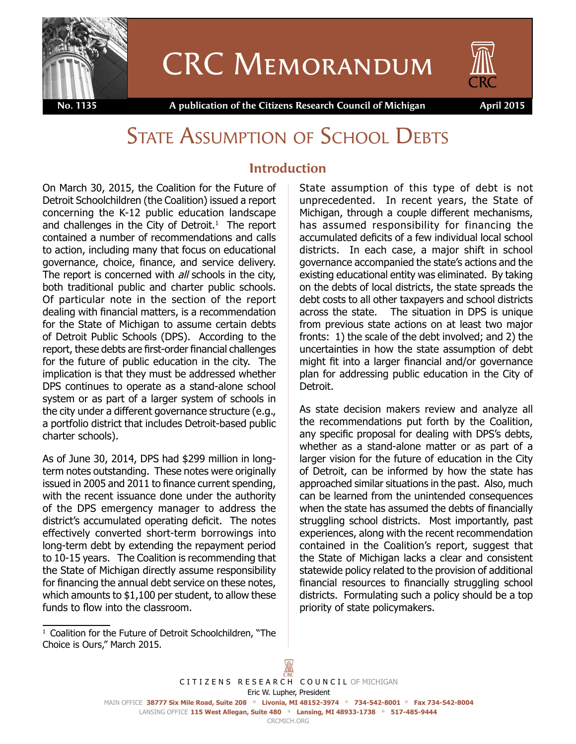

# CRC Memorandum



 **No. 1135 A publication of the Citizens Research Council of Michigan April 2015** 

## STATE ASSUMPTION OF SCHOOL DEBTS

#### **Introduction**

On March 30, 2015, the Coalition for the Future of Detroit Schoolchildren (the Coalition) issued a report concerning the K-12 public education landscape and challenges in the City of Detroit. $1$  The report contained a number of recommendations and calls to action, including many that focus on educational governance, choice, finance, and service delivery. The report is concerned with all schools in the city, both traditional public and charter public schools. Of particular note in the section of the report dealing with financial matters, is a recommendation for the State of Michigan to assume certain debts of Detroit Public Schools (DPS). According to the report, these debts are first-order financial challenges for the future of public education in the city. The implication is that they must be addressed whether DPS continues to operate as a stand-alone school system or as part of a larger system of schools in the city under a different governance structure (e.g., a portfolio district that includes Detroit-based public charter schools).

As of June 30, 2014, DPS had \$299 million in longterm notes outstanding. These notes were originally issued in 2005 and 2011 to finance current spending, with the recent issuance done under the authority of the DPS emergency manager to address the district's accumulated operating deficit. The notes effectively converted short-term borrowings into long-term debt by extending the repayment period to 10-15 years. The Coalition is recommending that the State of Michigan directly assume responsibility for financing the annual debt service on these notes, which amounts to \$1,100 per student, to allow these funds to flow into the classroom.

Detroit. As state decision makers review and analyze all the recommendations put forth by the Coalition, any specific proposal for dealing with DPS's debts, whether as a stand-alone matter or as part of a larger vision for the future of education in the City of Detroit, can be informed by how the state has approached similar situations in the past. Also, much can be learned from the unintended consequences when the state has assumed the debts of financially struggling school districts. Most importantly, past experiences, along with the recent recommendation

State assumption of this type of debt is not unprecedented. In recent years, the State of Michigan, through a couple different mechanisms, has assumed responsibility for financing the accumulated deficits of a few individual local school districts. In each case, a major shift in school governance accompanied the state's actions and the existing educational entity was eliminated. By taking on the debts of local districts, the state spreads the debt costs to all other taxpayers and school districts across the state. The situation in DPS is unique from previous state actions on at least two major fronts: 1) the scale of the debt involved; and 2) the uncertainties in how the state assumption of debt might fit into a larger financial and/or governance plan for addressing public education in the City of

contained in the Coalition's report, suggest that the State of Michigan lacks a clear and consistent statewide policy related to the provision of additional financial resources to financially struggling school districts. Formulating such a policy should be a top priority of state policymakers.

<sup>&</sup>lt;sup>1</sup> Coalition for the Future of Detroit Schoolchildren, "The Choice is Ours," March 2015.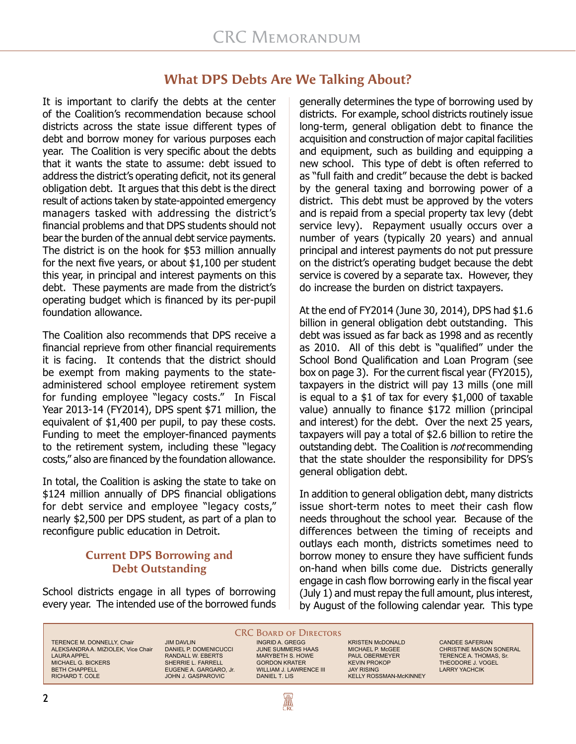#### **What DPS Debts Are We Talking About?**

It is important to clarify the debts at the center of the Coalition's recommendation because school districts across the state issue different types of debt and borrow money for various purposes each year. The Coalition is very specific about the debts that it wants the state to assume: debt issued to address the district's operating deficit, not its general obligation debt. It argues that this debt is the direct result of actions taken by state-appointed emergency managers tasked with addressing the district's financial problems and that DPS students should not bear the burden of the annual debt service payments. The district is on the hook for \$53 million annually for the next five years, or about \$1,100 per student this year, in principal and interest payments on this debt. These payments are made from the district's operating budget which is financed by its per-pupil foundation allowance.

The Coalition also recommends that DPS receive a financial reprieve from other financial requirements it is facing. It contends that the district should be exempt from making payments to the stateadministered school employee retirement system for funding employee "legacy costs." In Fiscal Year 2013-14 (FY2014), DPS spent \$71 million, the equivalent of \$1,400 per pupil, to pay these costs. Funding to meet the employer-financed payments to the retirement system, including these "legacy costs," also are financed by the foundation allowance.

In total, the Coalition is asking the state to take on \$124 million annually of DPS financial obligations for debt service and employee "legacy costs," nearly \$2,500 per DPS student, as part of a plan to reconfigure public education in Detroit.

#### **Current DPS Borrowing and Debt Outstanding**

School districts engage in all types of borrowing every year. The intended use of the borrowed funds generally determines the type of borrowing used by districts. For example, school districts routinely issue long-term, general obligation debt to finance the acquisition and construction of major capital facilities and equipment, such as building and equipping a new school. This type of debt is often referred to as "full faith and credit" because the debt is backed by the general taxing and borrowing power of a district. This debt must be approved by the voters and is repaid from a special property tax levy (debt service levy). Repayment usually occurs over a number of years (typically 20 years) and annual principal and interest payments do not put pressure on the district's operating budget because the debt service is covered by a separate tax. However, they do increase the burden on district taxpayers.

At the end of FY2014 (June 30, 2014), DPS had \$1.6 billion in general obligation debt outstanding. This debt was issued as far back as 1998 and as recently as 2010. All of this debt is "qualified" under the School Bond Qualification and Loan Program (see box on page 3). For the current fiscal year (FY2015), taxpayers in the district will pay 13 mills (one mill is equal to a \$1 of tax for every \$1,000 of taxable value) annually to finance \$172 million (principal and interest) for the debt. Over the next 25 years, taxpayers will pay a total of \$2.6 billion to retire the outstanding debt. The Coalition is *not* recommending that the state shoulder the responsibility for DPS's general obligation debt.

In addition to general obligation debt, many districts issue short-term notes to meet their cash flow needs throughout the school year. Because of the differences between the timing of receipts and outlays each month, districts sometimes need to borrow money to ensure they have sufficient funds on-hand when bills come due. Districts generally engage in cash flow borrowing early in the fiscal year (July 1) and must repay the full amount, plus interest, by August of the following calendar year. This type

TERENCE M. DONNELLY, Chair ALEKSANDRA A. MIZIOLEK, Vice Chair LAURA APPEL MICHAEL G. BICKERS BETH CHAPPELL RICHARD T. COLE

JIM DAVLIN DANIEL P. DOMENICUCCI RANDALL W. EBERTS SHERRIE L. FARRELL EUGENE A. GARGARO, Jr. JOHN J. GASPAROVIC

#### **CRC BOARD OF DIRECTORS** INGRID A. GREGG

JUNE SUMMERS HAAS MARYBETH S. HOWE GORDON KRATER WILLIAM J. LAWRENCE III DANIEL T. LIS

AN

KRISTEN McDONALD MICHAEL P. McGEE PAUL OBERMEYER KEVIN PROKOP JAY RISING KELLY ROSSMAN-McKINNEY CANDEE SAFERIAN CHRISTINE MASON SONERAL TERENCE A. THOMAS, Sr. THEODORE J. VOGEL LARRY YACHCIK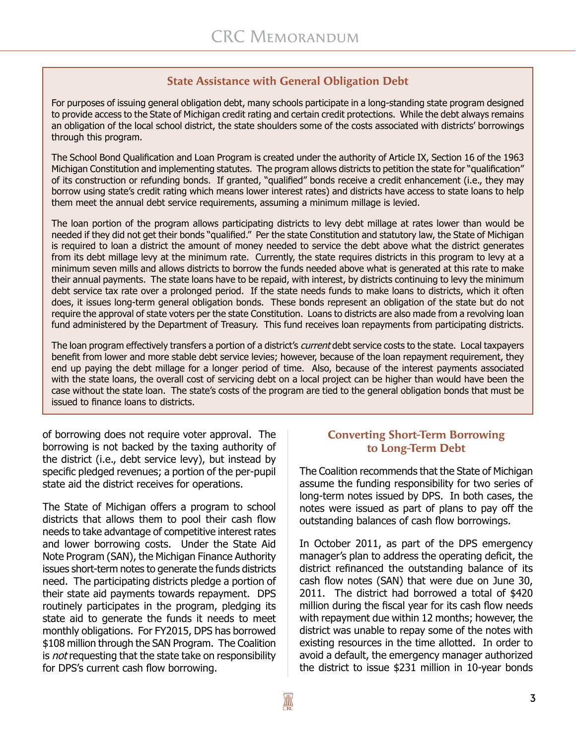#### **State Assistance with General Obligation Debt**

For purposes of issuing general obligation debt, many schools participate in a long-standing state program designed to provide access to the State of Michigan credit rating and certain credit protections. While the debt always remains an obligation of the local school district, the state shoulders some of the costs associated with districts' borrowings through this program.

The School Bond Qualification and Loan Program is created under the authority of Article IX, Section 16 of the 1963 Michigan Constitution and implementing statutes. The program allows districts to petition the state for "qualification" of its construction or refunding bonds. If granted, "qualified" bonds receive a credit enhancement (i.e., they may borrow using state's credit rating which means lower interest rates) and districts have access to state loans to help them meet the annual debt service requirements, assuming a minimum millage is levied.

The loan portion of the program allows participating districts to levy debt millage at rates lower than would be needed if they did not get their bonds "qualified." Per the state Constitution and statutory law, the State of Michigan is required to loan a district the amount of money needed to service the debt above what the district generates from its debt millage levy at the minimum rate. Currently, the state requires districts in this program to levy at a minimum seven mills and allows districts to borrow the funds needed above what is generated at this rate to make their annual payments. The state loans have to be repaid, with interest, by districts continuing to levy the minimum debt service tax rate over a prolonged period. If the state needs funds to make loans to districts, which it often does, it issues long-term general obligation bonds. These bonds represent an obligation of the state but do not require the approval of state voters per the state Constitution. Loans to districts are also made from a revolving loan fund administered by the Department of Treasury. This fund receives loan repayments from participating districts.

The loan program effectively transfers a portion of a district's *current* debt service costs to the state. Local taxpayers benefit from lower and more stable debt service levies; however, because of the loan repayment requirement, they end up paying the debt millage for a longer period of time. Also, because of the interest payments associated with the state loans, the overall cost of servicing debt on a local project can be higher than would have been the case without the state loan. The state's costs of the program are tied to the general obligation bonds that must be issued to finance loans to districts.

of borrowing does not require voter approval. The borrowing is not backed by the taxing authority of the district (i.e., debt service levy), but instead by specific pledged revenues; a portion of the per-pupil state aid the district receives for operations.

The State of Michigan offers a program to school districts that allows them to pool their cash flow needs to take advantage of competitive interest rates and lower borrowing costs. Under the State Aid Note Program (SAN), the Michigan Finance Authority issues short-term notes to generate the funds districts need. The participating districts pledge a portion of their state aid payments towards repayment. DPS routinely participates in the program, pledging its state aid to generate the funds it needs to meet monthly obligations. For FY2015, DPS has borrowed \$108 million through the SAN Program. The Coalition is not requesting that the state take on responsibility for DPS's current cash flow borrowing.

#### **Converting Short-Term Borrowing to Long-Term Debt**

The Coalition recommends that the State of Michigan assume the funding responsibility for two series of long-term notes issued by DPS. In both cases, the notes were issued as part of plans to pay off the outstanding balances of cash flow borrowings.

In October 2011, as part of the DPS emergency manager's plan to address the operating deficit, the district refinanced the outstanding balance of its cash flow notes (SAN) that were due on June 30, 2011. The district had borrowed a total of \$420 million during the fiscal year for its cash flow needs with repayment due within 12 months; however, the district was unable to repay some of the notes with existing resources in the time allotted. In order to avoid a default, the emergency manager authorized the district to issue \$231 million in 10-year bonds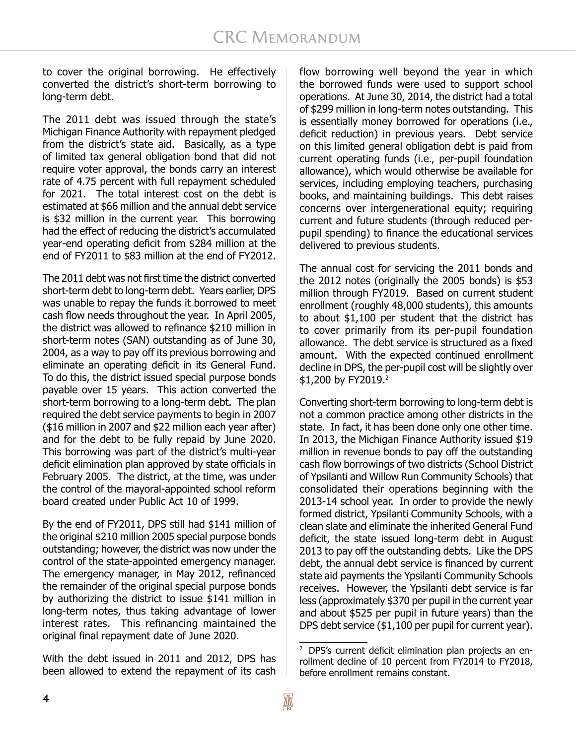to cover the original borrowing. He effectively converted the district's short-term borrowing to long-term debt.

The 2011 debt was issued through the state's Michigan Finance Authority with repayment pledged from the district's state aid. Basically, as a type of limited tax general obligation bond that did not require voter approval, the bonds carry an interest rate of 4.75 percent with full repayment scheduled for 2021. The total interest cost on the debt is estimated at \$66 million and the annual debt service is \$32 million in the current year. This borrowing had the effect of reducing the district's accumulated year-end operating deficit from \$284 million at the end of FY2011 to \$83 million at the end of FY2012.

The 2011 debt was not first time the district converted short-term debt to long-term debt. Years earlier, DPS was unable to repay the funds it borrowed to meet cash flow needs throughout the year. In April 2005, the district was allowed to refinance \$210 million in short-term notes (SAN) outstanding as of June 30, 2004, as a way to pay off its previous borrowing and eliminate an operating deficit in its General Fund. To do this, the district issued special purpose bonds payable over 15 years. This action converted the short-term borrowing to a long-term debt. The plan required the debt service payments to begin in 2007 (\$16 million in 2007 and \$22 million each year after) and for the debt to be fully repaid by June 2020. This borrowing was part of the district's multi-year deficit elimination plan approved by state officials in February 2005. The district, at the time, was under the control of the mayoral-appointed school reform board created under Public Act 10 of 1999.

By the end of FY2011, DPS still had \$141 million of the original \$210 million 2005 special purpose bonds outstanding; however, the district was now under the control of the state-appointed emergency manager. The emergency manager, in May 2012, refinanced the remainder of the original special purpose bonds by authorizing the district to issue \$141 million in long-term notes, thus taking advantage of lower interest rates. This refinancing maintained the original final repayment date of June 2020.

With the debt issued in 2011 and 2012, DPS has been allowed to extend the repayment of its cash flow borrowing well beyond the year in which the borrowed funds were used to support school operations. At June 30, 2014, the district had a total of \$299 million in long-term notes outstanding. This is essentially money borrowed for operations (i.e., deficit reduction) in previous years. Debt service on this limited general obligation debt is paid from current operating funds (i.e., per-pupil foundation allowance), which would otherwise be available for services, including employing teachers, purchasing books, and maintaining buildings. This debt raises concerns over intergenerational equity; requiring current and future students (through reduced perpupil spending) to finance the educational services delivered to previous students.

The annual cost for servicing the 2011 bonds and the 2012 notes (originally the 2005 bonds) is \$53 million through FY2019. Based on current student enrollment (roughly 48,000 students), this amounts to about \$1,100 per student that the district has to cover primarily from its per-pupil foundation allowance. The debt service is structured as a fixed amount. With the expected continued enrollment decline in DPS, the per-pupil cost will be slightly over \$1,200 by FY2019.<sup>2</sup>

Converting short-term borrowing to long-term debt is not a common practice among other districts in the state. In fact, it has been done only one other time. In 2013, the Michigan Finance Authority issued \$19 million in revenue bonds to pay off the outstanding cash flow borrowings of two districts (School District of Ypsilanti and Willow Run Community Schools) that consolidated their operations beginning with the 2013-14 school year. In order to provide the newly formed district, Ypsilanti Community Schools, with a clean slate and eliminate the inherited General Fund deficit, the state issued long-term debt in August 2013 to pay off the outstanding debts. Like the DPS debt, the annual debt service is financed by current state aid payments the Ypsilanti Community Schools receives. However, the Ypsilanti debt service is far less (approximately \$370 per pupil in the current year and about \$525 per pupil in future years) than the DPS debt service (\$1,100 per pupil for current year).

<sup>2</sup> DPS's current deficit elimination plan projects an enrollment decline of 10 percent from FY2014 to FY2018, before enrollment remains constant.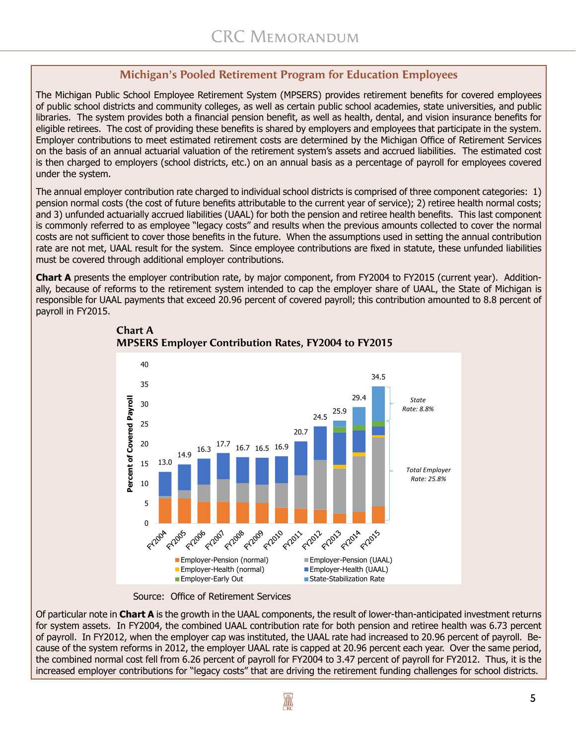#### **Michigan's Pooled Retirement Program for Education Employees**

The Michigan Public School Employee Retirement System (MPSERS) provides retirement benefits for covered employees of public school districts and community colleges, as well as certain public school academies, state universities, and public libraries. The system provides both a financial pension benefit, as well as health, dental, and vision insurance benefits for eligible retirees. The cost of providing these benefits is shared by employers and employees that participate in the system. Employer contributions to meet estimated retirement costs are determined by the Michigan Office of Retirement Services on the basis of an annual actuarial valuation of the retirement system's assets and accrued liabilities. The estimated cost is then charged to employers (school districts, etc.) on an annual basis as a percentage of payroll for employees covered under the system.

The annual employer contribution rate charged to individual school districts is comprised of three component categories: 1) pension normal costs (the cost of future benefits attributable to the current year of service); 2) retiree health normal costs; and 3) unfunded actuarially accrued liabilities (UAAL) for both the pension and retiree health benefits. This last component is commonly referred to as employee "legacy costs" and results when the previous amounts collected to cover the normal costs are not sufficient to cover those benefits in the future. When the assumptions used in setting the annual contribution rate are not met, UAAL result for the system. Since employee contributions are fixed in statute, these unfunded liabilities must be covered through additional employer contributions.

**Chart A** presents the employer contribution rate, by major component, from FY2004 to FY2015 (current year). Additionally, because of reforms to the retirement system intended to cap the employer share of UAAL, the State of Michigan is responsible for UAAL payments that exceed 20.96 percent of covered payroll; this contribution amounted to 8.8 percent of payroll in FY2015.



 **Chart A MPSERS Employer Contribution Rates, FY2004 to FY2015**

Of particular note in **Chart A** is the growth in the UAAL components, the result of lower-than-anticipated investment returns for system assets. In FY2004, the combined UAAL contribution rate for both pension and retiree health was 6.73 percent of payroll. In FY2012, when the employer cap was instituted, the UAAL rate had increased to 20.96 percent of payroll. Because of the system reforms in 2012, the employer UAAL rate is capped at 20.96 percent each year. Over the same period, the combined normal cost fell from 6.26 percent of payroll for FY2004 to 3.47 percent of payroll for FY2012. Thus, it is the increased employer contributions for "legacy costs" that are driving the retirement funding challenges for school districts.

Source: Office of Retirement Services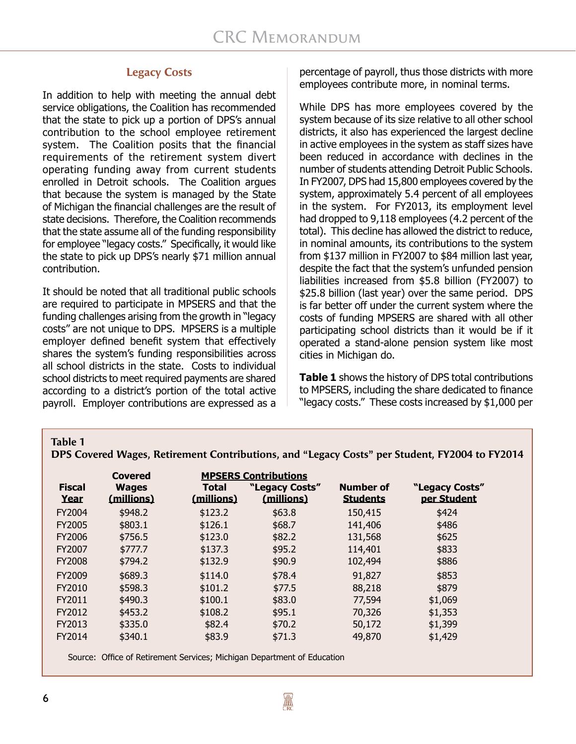#### **Legacy Costs**

In addition to help with meeting the annual debt service obligations, the Coalition has recommended that the state to pick up a portion of DPS's annual contribution to the school employee retirement system. The Coalition posits that the financial requirements of the retirement system divert operating funding away from current students enrolled in Detroit schools. The Coalition argues that because the system is managed by the State of Michigan the financial challenges are the result of state decisions. Therefore, the Coalition recommends that the state assume all of the funding responsibility for employee "legacy costs." Specifically, it would like the state to pick up DPS's nearly \$71 million annual contribution.

It should be noted that all traditional public schools are required to participate in MPSERS and that the funding challenges arising from the growth in "legacy costs" are not unique to DPS. MPSERS is a multiple employer defined benefit system that effectively shares the system's funding responsibilities across all school districts in the state. Costs to individual school districts to meet required payments are shared according to a district's portion of the total active payroll. Employer contributions are expressed as a

percentage of payroll, thus those districts with more employees contribute more, in nominal terms.

While DPS has more employees covered by the system because of its size relative to all other school districts, it also has experienced the largest decline in active employees in the system as staff sizes have been reduced in accordance with declines in the number of students attending Detroit Public Schools. In FY2007, DPS had 15,800 employees covered by the system, approximately 5.4 percent of all employees in the system. For FY2013, its employment level had dropped to 9,118 employees (4.2 percent of the total). This decline has allowed the district to reduce, in nominal amounts, its contributions to the system from \$137 million in FY2007 to \$84 million last year, despite the fact that the system's unfunded pension liabilities increased from \$5.8 billion (FY2007) to \$25.8 billion (last year) over the same period. DPS is far better off under the current system where the costs of funding MPSERS are shared with all other participating school districts than it would be if it operated a stand-alone pension system like most cities in Michigan do.

**Table 1** shows the history of DPS total contributions to MPSERS, including the share dedicated to finance "legacy costs." These costs increased by \$1,000 per

#### **Table 1**

**DPS Covered Wages, Retirement Contributions, and "Legacy Costs" per Student, FY2004 to FY2014**

| <b>Fiscal</b><br>Year | <b>Covered</b><br><b>Wages</b><br>(millions) | <b>Total</b><br>(millions) | <b>MPSERS Contributions</b><br>"Legacy Costs"<br>(millions) | <b>Number of</b><br><b>Students</b> | "Legacy Costs"<br>per Student |
|-----------------------|----------------------------------------------|----------------------------|-------------------------------------------------------------|-------------------------------------|-------------------------------|
| FY2004                | \$948.2                                      | \$123.2                    | \$63.8                                                      | 150,415                             | \$424                         |
| <b>FY2005</b>         | \$803.1                                      | \$126.1                    | \$68.7                                                      | 141,406                             | \$486                         |
| FY2006                | \$756.5                                      | \$123.0                    | \$82.2                                                      | 131,568                             | \$625                         |
| FY2007                | \$777.7                                      | \$137.3                    | \$95.2                                                      | 114,401                             | \$833                         |
| <b>FY2008</b>         | \$794.2                                      | \$132.9                    | \$90.9                                                      | 102,494                             | \$886                         |
| FY2009                | \$689.3                                      | \$114.0                    | \$78.4                                                      | 91,827                              | \$853                         |
| FY2010                | \$598.3                                      | \$101.2                    | \$77.5                                                      | 88,218                              | \$879                         |
| FY2011                | \$490.3                                      | \$100.1                    | \$83.0                                                      | 77,594                              | \$1,069                       |
| FY2012                | \$453.2                                      | \$108.2                    | \$95.1                                                      | 70,326                              | \$1,353                       |
| FY2013                | \$335.0                                      | \$82.4                     | \$70.2                                                      | 50,172                              | \$1,399                       |
| FY2014                | \$340.1                                      | \$83.9                     | \$71.3                                                      | 49,870                              | \$1,429                       |

Source: Office of Retirement Services; Michigan Department of Education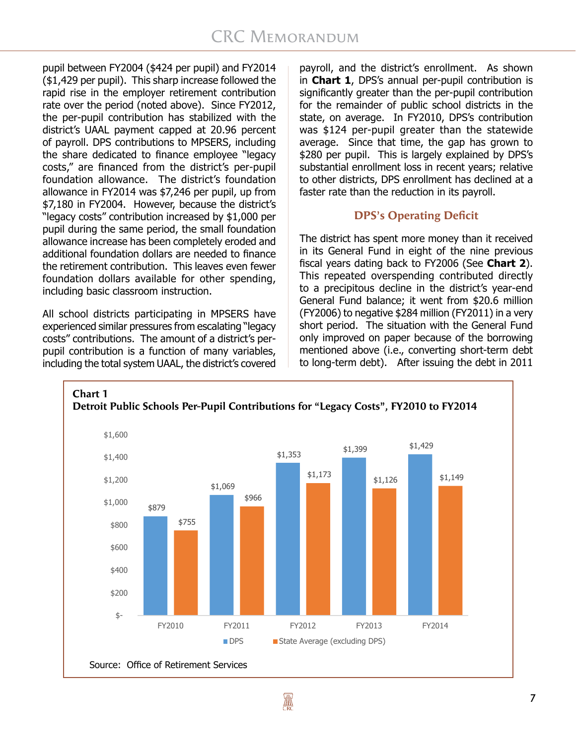pupil between FY2004 (\$424 per pupil) and FY2014 (\$1,429 per pupil). This sharp increase followed the rapid rise in the employer retirement contribution rate over the period (noted above). Since FY2012, the per-pupil contribution has stabilized with the district's UAAL payment capped at 20.96 percent of payroll. DPS contributions to MPSERS, including the share dedicated to finance employee "legacy costs," are financed from the district's per-pupil foundation allowance. The district's foundation allowance in FY2014 was \$7,246 per pupil, up from \$7,180 in FY2004. However, because the district's "legacy costs" contribution increased by \$1,000 per pupil during the same period, the small foundation allowance increase has been completely eroded and additional foundation dollars are needed to finance the retirement contribution. This leaves even fewer foundation dollars available for other spending, including basic classroom instruction.

All school districts participating in MPSERS have experienced similar pressures from escalating "legacy costs" contributions. The amount of a district's perpupil contribution is a function of many variables, including the total system UAAL, the district's covered payroll, and the district's enrollment. As shown in **Chart 1**, DPS's annual per-pupil contribution is significantly greater than the per-pupil contribution for the remainder of public school districts in the state, on average. In FY2010, DPS's contribution was \$124 per-pupil greater than the statewide average. Since that time, the gap has grown to \$280 per pupil. This is largely explained by DPS's substantial enrollment loss in recent years; relative to other districts, DPS enrollment has declined at a faster rate than the reduction in its payroll.

#### **DPS's Operating Deficit**

The district has spent more money than it received in its General Fund in eight of the nine previous fiscal years dating back to FY2006 (See **Chart 2**). This repeated overspending contributed directly to a precipitous decline in the district's year-end General Fund balance; it went from \$20.6 million (FY2006) to negative \$284 million (FY2011) in a very short period. The situation with the General Fund only improved on paper because of the borrowing mentioned above (i.e., converting short-term debt to long-term debt). After issuing the debt in 2011

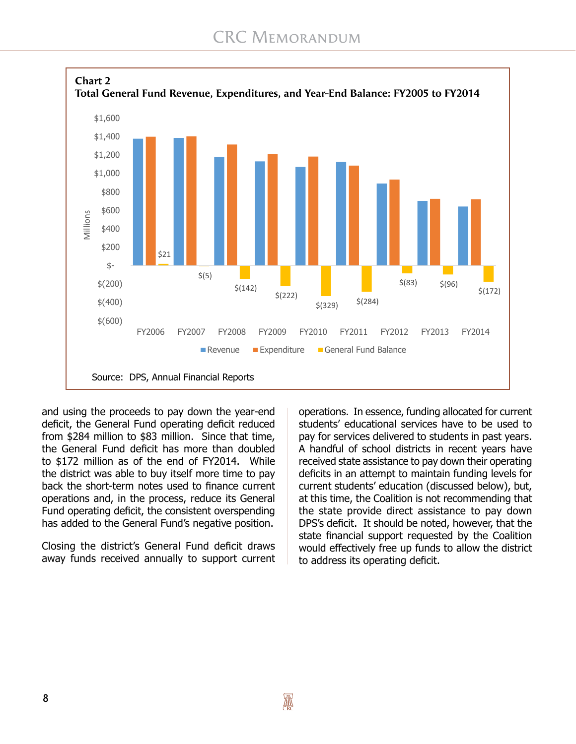

and using the proceeds to pay down the year-end deficit, the General Fund operating deficit reduced from \$284 million to \$83 million. Since that time, the General Fund deficit has more than doubled to \$172 million as of the end of FY2014. While the district was able to buy itself more time to pay back the short-term notes used to finance current operations and, in the process, reduce its General Fund operating deficit, the consistent overspending has added to the General Fund's negative position.

Closing the district's General Fund deficit draws away funds received annually to support current

operations. In essence, funding allocated for current students' educational services have to be used to pay for services delivered to students in past years. A handful of school districts in recent years have received state assistance to pay down their operating deficits in an attempt to maintain funding levels for current students' education (discussed below), but, at this time, the Coalition is not recommending that the state provide direct assistance to pay down DPS's deficit. It should be noted, however, that the state financial support requested by the Coalition would effectively free up funds to allow the district to address its operating deficit.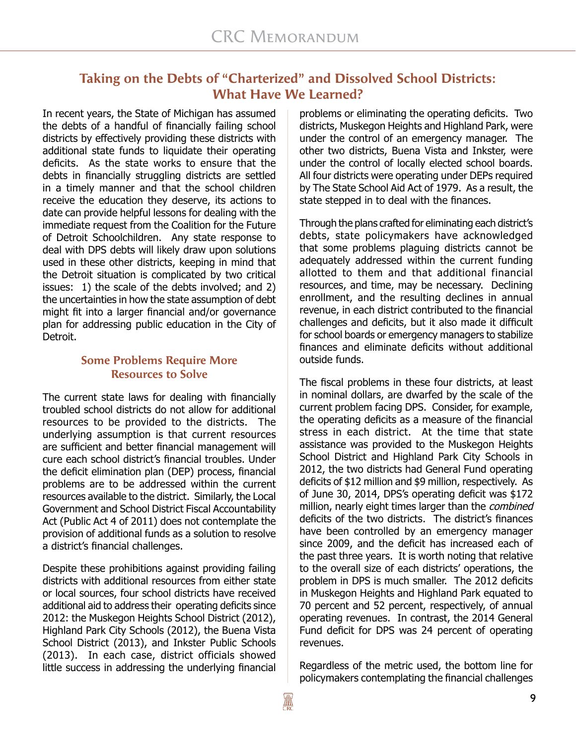#### **Taking on the Debts of "Charterized" and Dissolved School Districts: What Have We Learned?**

In recent years, the State of Michigan has assumed the debts of a handful of financially failing school districts by effectively providing these districts with additional state funds to liquidate their operating deficits. As the state works to ensure that the debts in financially struggling districts are settled in a timely manner and that the school children receive the education they deserve, its actions to date can provide helpful lessons for dealing with the immediate request from the Coalition for the Future of Detroit Schoolchildren. Any state response to deal with DPS debts will likely draw upon solutions used in these other districts, keeping in mind that the Detroit situation is complicated by two critical issues: 1) the scale of the debts involved; and 2) the uncertainties in how the state assumption of debt might fit into a larger financial and/or governance plan for addressing public education in the City of Detroit.

#### **Some Problems Require More Resources to Solve**

The current state laws for dealing with financially troubled school districts do not allow for additional resources to be provided to the districts. The underlying assumption is that current resources are sufficient and better financial management will cure each school district's financial troubles. Under the deficit elimination plan (DEP) process, financial problems are to be addressed within the current resources available to the district. Similarly, the Local Government and School District Fiscal Accountability Act (Public Act 4 of 2011) does not contemplate the provision of additional funds as a solution to resolve a district's financial challenges.

Despite these prohibitions against providing failing districts with additional resources from either state or local sources, four school districts have received additional aid to address their operating deficits since 2012: the Muskegon Heights School District (2012), Highland Park City Schools (2012), the Buena Vista School District (2013), and Inkster Public Schools (2013). In each case, district officials showed little success in addressing the underlying financial

problems or eliminating the operating deficits. Two districts, Muskegon Heights and Highland Park, were under the control of an emergency manager. The other two districts, Buena Vista and Inkster, were under the control of locally elected school boards. All four districts were operating under DEPs required by The State School Aid Act of 1979. As a result, the state stepped in to deal with the finances.

Through the plans crafted for eliminating each district's debts, state policymakers have acknowledged that some problems plaguing districts cannot be adequately addressed within the current funding allotted to them and that additional financial resources, and time, may be necessary. Declining enrollment, and the resulting declines in annual revenue, in each district contributed to the financial challenges and deficits, but it also made it difficult for school boards or emergency managers to stabilize finances and eliminate deficits without additional outside funds.

The fiscal problems in these four districts, at least in nominal dollars, are dwarfed by the scale of the current problem facing DPS. Consider, for example, the operating deficits as a measure of the financial stress in each district. At the time that state assistance was provided to the Muskegon Heights School District and Highland Park City Schools in 2012, the two districts had General Fund operating deficits of \$12 million and \$9 million, respectively. As of June 30, 2014, DPS's operating deficit was \$172 million, nearly eight times larger than the *combined* deficits of the two districts. The district's finances have been controlled by an emergency manager since 2009, and the deficit has increased each of the past three years. It is worth noting that relative to the overall size of each districts' operations, the problem in DPS is much smaller. The 2012 deficits in Muskegon Heights and Highland Park equated to 70 percent and 52 percent, respectively, of annual operating revenues. In contrast, the 2014 General Fund deficit for DPS was 24 percent of operating revenues.

Regardless of the metric used, the bottom line for policymakers contemplating the financial challenges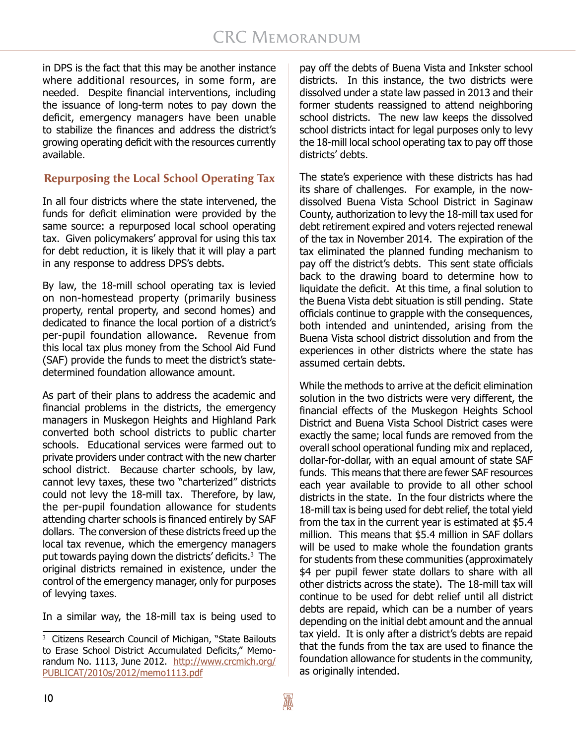in DPS is the fact that this may be another instance where additional resources, in some form, are needed. Despite financial interventions, including the issuance of long-term notes to pay down the deficit, emergency managers have been unable to stabilize the finances and address the district's growing operating deficit with the resources currently available.

#### **Repurposing the Local School Operating Tax**

In all four districts where the state intervened, the funds for deficit elimination were provided by the same source: a repurposed local school operating tax. Given policymakers' approval for using this tax for debt reduction, it is likely that it will play a part in any response to address DPS's debts.

By law, the 18-mill school operating tax is levied on non-homestead property (primarily business property, rental property, and second homes) and dedicated to finance the local portion of a district's per-pupil foundation allowance. Revenue from this local tax plus money from the School Aid Fund (SAF) provide the funds to meet the district's statedetermined foundation allowance amount.

As part of their plans to address the academic and financial problems in the districts, the emergency managers in Muskegon Heights and Highland Park converted both school districts to public charter schools. Educational services were farmed out to private providers under contract with the new charter school district. Because charter schools, by law, cannot levy taxes, these two "charterized" districts could not levy the 18-mill tax. Therefore, by law, the per-pupil foundation allowance for students attending charter schools is financed entirely by SAF dollars. The conversion of these districts freed up the local tax revenue, which the emergency managers put towards paying down the districts' deficits.<sup>3</sup> The original districts remained in existence, under the control of the emergency manager, only for purposes of levying taxes.

In a similar way, the 18-mill tax is being used to

pay off the debts of Buena Vista and Inkster school districts. In this instance, the two districts were dissolved under a state law passed in 2013 and their former students reassigned to attend neighboring school districts. The new law keeps the dissolved school districts intact for legal purposes only to levy the 18-mill local school operating tax to pay off those districts' debts.

The state's experience with these districts has had its share of challenges. For example, in the nowdissolved Buena Vista School District in Saginaw County, authorization to levy the 18-mill tax used for debt retirement expired and voters rejected renewal of the tax in November 2014. The expiration of the tax eliminated the planned funding mechanism to pay off the district's debts. This sent state officials back to the drawing board to determine how to liquidate the deficit. At this time, a final solution to the Buena Vista debt situation is still pending. State officials continue to grapple with the consequences, both intended and unintended, arising from the Buena Vista school district dissolution and from the experiences in other districts where the state has assumed certain debts.

While the methods to arrive at the deficit elimination solution in the two districts were very different, the financial effects of the Muskegon Heights School District and Buena Vista School District cases were exactly the same; local funds are removed from the overall school operational funding mix and replaced, dollar-for-dollar, with an equal amount of state SAF funds. This means that there are fewer SAF resources each year available to provide to all other school districts in the state. In the four districts where the 18-mill tax is being used for debt relief, the total yield from the tax in the current year is estimated at \$5.4 million. This means that \$5.4 million in SAF dollars will be used to make whole the foundation grants for students from these communities (approximately \$4 per pupil fewer state dollars to share with all other districts across the state). The 18-mill tax will continue to be used for debt relief until all district debts are repaid, which can be a number of years depending on the initial debt amount and the annual tax yield. It is only after a district's debts are repaid that the funds from the tax are used to finance the foundation allowance for students in the community, as originally intended.

<sup>&</sup>lt;sup>3</sup> Citizens Research Council of Michigan, "State Bailouts to Erase School District Accumulated Deficits," Memorandum No. 1113, June 2012. [http://www.crcmich.org/](http://http://www.crcmich.org/PUBLICAT/2010s/2012/memo1113.pdf) [PUBLICAT/2010s/2012/memo1113.pdf](http://http://www.crcmich.org/PUBLICAT/2010s/2012/memo1113.pdf)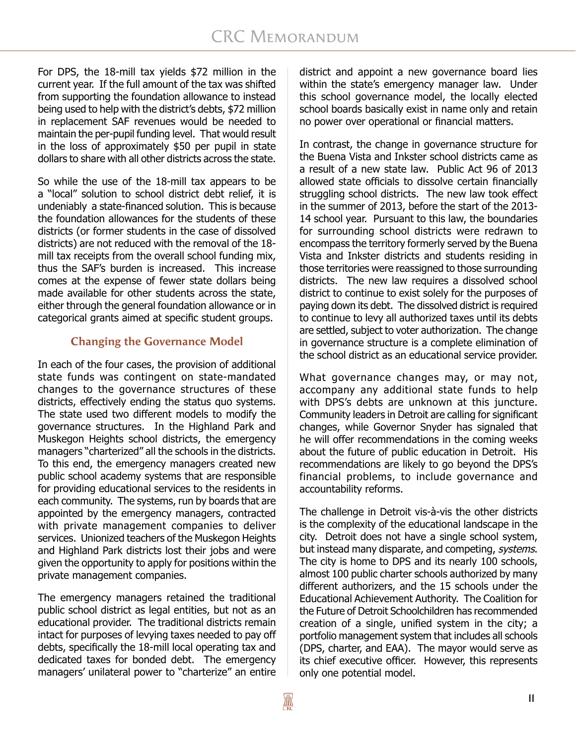For DPS, the 18-mill tax yields \$72 million in the current year. If the full amount of the tax was shifted from supporting the foundation allowance to instead being used to help with the district's debts, \$72 million in replacement SAF revenues would be needed to maintain the per-pupil funding level. That would result in the loss of approximately \$50 per pupil in state dollars to share with all other districts across the state.

So while the use of the 18-mill tax appears to be a "local" solution to school district debt relief, it is undeniably a state-financed solution. This is because the foundation allowances for the students of these districts (or former students in the case of dissolved districts) are not reduced with the removal of the 18 mill tax receipts from the overall school funding mix, thus the SAF's burden is increased. This increase comes at the expense of fewer state dollars being made available for other students across the state, either through the general foundation allowance or in categorical grants aimed at specific student groups.

#### **Changing the Governance Model**

In each of the four cases, the provision of additional state funds was contingent on state-mandated changes to the governance structures of these districts, effectively ending the status quo systems. The state used two different models to modify the governance structures. In the Highland Park and Muskegon Heights school districts, the emergency managers "charterized" all the schools in the districts. To this end, the emergency managers created new public school academy systems that are responsible for providing educational services to the residents in each community. The systems, run by boards that are appointed by the emergency managers, contracted with private management companies to deliver services. Unionized teachers of the Muskegon Heights and Highland Park districts lost their jobs and were given the opportunity to apply for positions within the private management companies.

The emergency managers retained the traditional public school district as legal entities, but not as an educational provider. The traditional districts remain intact for purposes of levying taxes needed to pay off debts, specifically the 18-mill local operating tax and dedicated taxes for bonded debt. The emergency managers' unilateral power to "charterize" an entire district and appoint a new governance board lies within the state's emergency manager law. Under this school governance model, the locally elected school boards basically exist in name only and retain no power over operational or financial matters.

In contrast, the change in governance structure for the Buena Vista and Inkster school districts came as a result of a new state law. Public Act 96 of 2013 allowed state officials to dissolve certain financially struggling school districts. The new law took effect in the summer of 2013, before the start of the 2013- 14 school year. Pursuant to this law, the boundaries for surrounding school districts were redrawn to encompass the territory formerly served by the Buena Vista and Inkster districts and students residing in those territories were reassigned to those surrounding districts. The new law requires a dissolved school district to continue to exist solely for the purposes of paying down its debt. The dissolved district is required to continue to levy all authorized taxes until its debts are settled, subject to voter authorization. The change in governance structure is a complete elimination of the school district as an educational service provider.

What governance changes may, or may not, accompany any additional state funds to help with DPS's debts are unknown at this juncture. Community leaders in Detroit are calling for significant changes, while Governor Snyder has signaled that he will offer recommendations in the coming weeks about the future of public education in Detroit. His recommendations are likely to go beyond the DPS's financial problems, to include governance and accountability reforms.

The challenge in Detroit vis-à-vis the other districts is the complexity of the educational landscape in the city. Detroit does not have a single school system, but instead many disparate, and competing, systems. The city is home to DPS and its nearly 100 schools, almost 100 public charter schools authorized by many different authorizers, and the 15 schools under the Educational Achievement Authority. The Coalition for the Future of Detroit Schoolchildren has recommended creation of a single, unified system in the city; a portfolio management system that includes all schools (DPS, charter, and EAA). The mayor would serve as its chief executive officer. However, this represents only one potential model.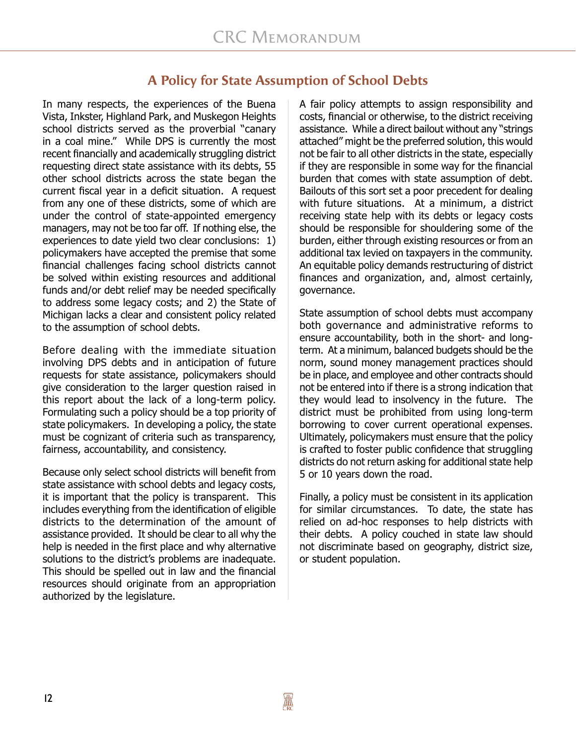### **A Policy for State Assumption of School Debts**

In many respects, the experiences of the Buena Vista, Inkster, Highland Park, and Muskegon Heights school districts served as the proverbial "canary in a coal mine." While DPS is currently the most recent financially and academically struggling district requesting direct state assistance with its debts, 55 other school districts across the state began the current fiscal year in a deficit situation. A request from any one of these districts, some of which are under the control of state-appointed emergency managers, may not be too far off. If nothing else, the experiences to date yield two clear conclusions: 1) policymakers have accepted the premise that some financial challenges facing school districts cannot be solved within existing resources and additional funds and/or debt relief may be needed specifically to address some legacy costs; and 2) the State of Michigan lacks a clear and consistent policy related to the assumption of school debts.

Before dealing with the immediate situation involving DPS debts and in anticipation of future requests for state assistance, policymakers should give consideration to the larger question raised in this report about the lack of a long-term policy. Formulating such a policy should be a top priority of state policymakers. In developing a policy, the state must be cognizant of criteria such as transparency, fairness, accountability, and consistency.

Because only select school districts will benefit from state assistance with school debts and legacy costs, it is important that the policy is transparent. This includes everything from the identification of eligible districts to the determination of the amount of assistance provided. It should be clear to all why the help is needed in the first place and why alternative solutions to the district's problems are inadequate. This should be spelled out in law and the financial resources should originate from an appropriation authorized by the legislature.

A fair policy attempts to assign responsibility and costs, financial or otherwise, to the district receiving assistance. While a direct bailout without any "strings attached" might be the preferred solution, this would not be fair to all other districts in the state, especially if they are responsible in some way for the financial burden that comes with state assumption of debt. Bailouts of this sort set a poor precedent for dealing with future situations. At a minimum, a district receiving state help with its debts or legacy costs should be responsible for shouldering some of the burden, either through existing resources or from an additional tax levied on taxpayers in the community. An equitable policy demands restructuring of district finances and organization, and, almost certainly, governance.

State assumption of school debts must accompany both governance and administrative reforms to ensure accountability, both in the short- and longterm. At a minimum, balanced budgets should be the norm, sound money management practices should be in place, and employee and other contracts should not be entered into if there is a strong indication that they would lead to insolvency in the future. The district must be prohibited from using long-term borrowing to cover current operational expenses. Ultimately, policymakers must ensure that the policy is crafted to foster public confidence that struggling districts do not return asking for additional state help 5 or 10 years down the road.

Finally, a policy must be consistent in its application for similar circumstances. To date, the state has relied on ad-hoc responses to help districts with their debts. A policy couched in state law should not discriminate based on geography, district size, or student population.